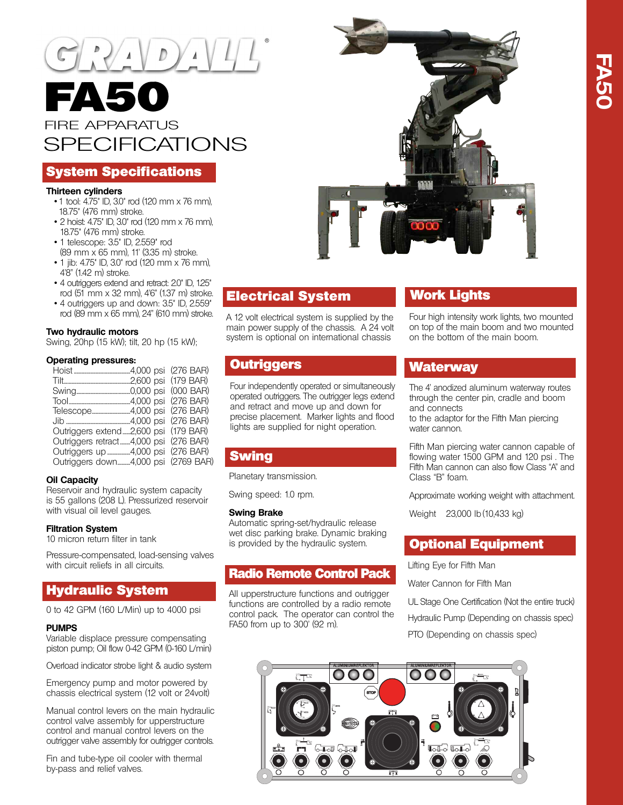

## System Specifications

#### **Thirteen cylinders**

- 1 tool: 4.75" ID, 3.0" rod (120 mm x 76 mm), 18.75" (476 mm) stroke.
- 2 hoist: 4.75" ID, 3.0" rod (120 mm x 76 mm), 18.75" (476 mm) stroke.
- 1 telescope: 3.5" ID, 2.559" rod (89 mm x 65 mm), 11' (3.35 m) stroke.
- 1 jib: 4.75" ID, 3.0" rod (120 mm x 76 mm), 4'8" (1.42 m) stroke.
- 4 outriggers extend and retract: 2.0" ID, 1.25" rod (51 mm x 32 mm), 4'6" (1.37 m) stroke. • 4 outriggers up and down: 3.5" ID, 2.559"
- rod (89 mm x 65 mm), 24" (610 mm) stroke.

## **Two hydraulic motors**

Swing, 20hp (15 kW); tilt, 20 hp (15 kW);

#### **Operating pressures:**

|                             |            | (276 BAR)  |
|-----------------------------|------------|------------|
|                             | .2,600 psi | (179 BAR)  |
|                             |            | (000 BAR)  |
|                             |            | (276 BAR)  |
| Telescope4,000 psi          |            | (276 BAR)  |
|                             |            | (276 BAR)  |
| Outriggers extend2,600 psi  |            | (179 BAR)  |
| Outriggers retract4,000 psi |            | (276 BAR)  |
| Outriggers up 4,000 psi     |            | (276 BAR)  |
| Outriggers down4,000 psi    |            | (2769 BAR) |
|                             |            |            |

## **Oil Capacity**

Reservoir and hydraulic system capacity is 55 gallons (208 L). Pressurized reservoir with visual oil level gauges.

## **Filtration System**

10 micron return filter in tank

Pressure-compensated, load-sensing valves with circuit reliefs in all circuits.

# Hydraulic System

0 to 42 GPM (160 L/Min) up to 4000 psi

#### **PUMPS**

Variable displace pressure compensating piston pump; Oil flow 0-42 GPM (0-160 L/min)

Overload indicator strobe light & audio system

Emergency pump and motor powered by chassis electrical system (12 volt or 24volt)

Manual control levers on the main hydraulic control valve assembly for upperstructure control and manual control levers on the outrigger valve assembly for outrigger controls.

Fin and tube-type oil cooler with thermal by-pass and relief valves.



# Electrical System

A 12 volt electrical system is supplied by the main power supply of the chassis. A 24 volt system is optional on international chassis

## **Outriggers**

Four independently operated or simultaneously operated outriggers. The outrigger legs extend and retract and move up and down for precise placement. Marker lights and flood lights are supplied for night operation.

# Swing

Planetary transmission.

Swing speed: 1.0 rpm.

#### **Swing Brake**

Automatic spring-set/hydraulic release wet disc parking brake. Dynamic braking is provided by the hydraulic system.

## Radio Remote Control Pack

All upperstructure functions and outrigger functions are controlled by a radio remote control pack. The operator can control the FA50 from up to 300' (92 m).

# Work Lights

Four high intensity work lights, two mounted on top of the main boom and two mounted on the bottom of the main boom.

## Waterway

The 4' anodized aluminum waterway routes through the center pin, cradle and boom and connects

to the adaptor for the Fifth Man piercing water cannon.

Fifth Man piercing water cannon capable of flowing water 1500 GPM and 120 psi . The Fifth Man cannon can also flow Class "A" and Class "B" foam.

Approximate working weight with attachment.

Weight 23,000 lb (10,433 kg)

## Optional Equipment

Lifting Eye for Fifth Man

Water Cannon for Fifth Man

UL Stage One Certification (Not the entire truck) Hydraulic Pump (Depending on chassis spec) PTO (Depending on chassis spec)